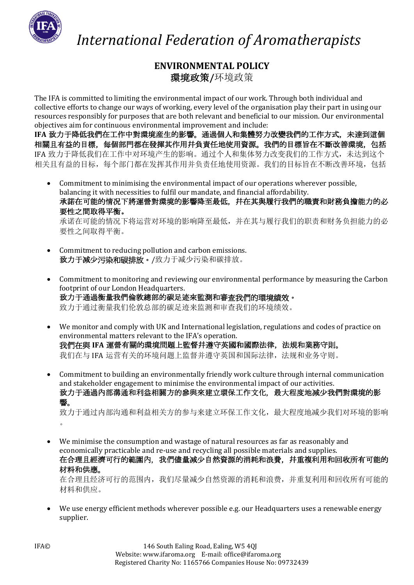

 *International Federation of Aromatherapists*

## **ENVIRONMENTAL POLICY** 環境政策**/**环境政策

The IFA is committed to limiting the environmental impact of our work. Through both individual and collective efforts to change our ways of working, every level of the organisation play their part in using our resources responsibly for purposes that are both relevant and beneficial to our mission. Our environmental objectives aim for continuous environmental improvement and include:

**IFA** 致力于降低我們在工作中對環境産生的影響。通過個人和集體努力改變我們的工作方式,未達到這個 相關且有益的目標,每個部門都在發揮其作用幷負責任地使用資源。我們的目標旨在不斷改善環境,包括 IFA 致力于降低我们在工作中对环境产生的影响。通过个人和集体努力改变我们的工作方式,未达到这个 相关且有益的目标,每个部门都在发挥其作用并负责任地使用资源。我们的目标旨在不断改善环境,包括

- Commitment to minimising the environmental impact of our operations wherever possible, balancing it with necessities to fulfil our mandate, and financial affordability. 承諾在可能的情况下將運營對環境的影響降至最低,幷在其與履行我們的職責和財務負擔能力的必 要性之間取得平衡。 承诺在可能的情况下将运营对环境的影响降至最低,并在其与履行我们的职责和财务负担能力的必 要性之间取得平衡。
- Commitment to reducing pollution and carbon emissions. 致力于减少污染和碳排放。/致力于减少污染和碳排放。
- Commitment to monitoring and reviewing our environmental performance by measuring the Carbon footprint of our London Headquarters. 致力于通過衡量我們倫敦總部的碳足迹來監測和審查我們的環境績效。 致力于通过衡量我们伦敦总部的碳足迹来监测和审查我们的环境绩效。
- We monitor and comply with UK and International legislation, regulations and codes of practice on environmental matters relevant to the IFA's operation. 我們在與 IFA 運營有關的環境問題上監督幷遵守英國和國際法律, 法規和業務守則。 我们在与 IFA 运营有关的环境问题上监督并遵守英国和国际法律,法规和业务守则。
- Commitment to building an environmentally friendly work culture through internal communication and stakeholder engagement to minimise the environmental impact of our activities. 致力于通過內部溝通和利益相關方的參與來建立環保工作文化,最大程度地減少我們對環境的影 響。

致力于通过内部沟通和利益相关方的参与来建立环保工作文化,最大程度地减少我们对环境的影响 。

• We minimise the consumption and wastage of natural resources as far as reasonably and economically practicable and re-use and recycling all possible materials and supplies. 在合理且經濟可行的範圍內,我們儘量減少自然資源的消耗和浪費,并重複利用和回收所有可能的 材料和供應。

在合理且经济可行的范围内,我们尽量减少自然资源的消耗和浪费,并重复利用和回收所有可能的 材料和供应。

• We use energy efficient methods wherever possible e.g. our Headquarters uses a renewable energy supplier.